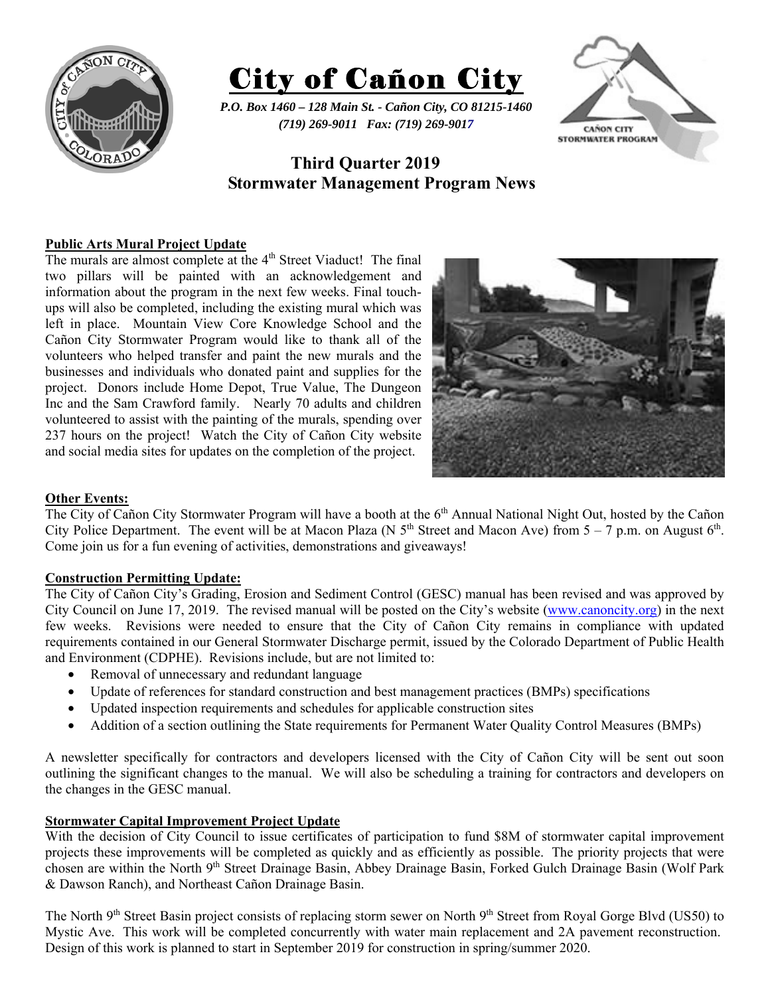



*P.O. Box 1460 – 128 Main St. - Cañon City, CO 81215-1460 (719) 269-9011 Fax: (719) 269-9017* 



# **Third Quarter 2019 Stormwater Management Program News**

## **Public Arts Mural Project Update**

The murals are almost complete at the 4<sup>th</sup> Street Viaduct! The final two pillars will be painted with an acknowledgement and information about the program in the next few weeks. Final touchups will also be completed, including the existing mural which was left in place. Mountain View Core Knowledge School and the Cañon City Stormwater Program would like to thank all of the volunteers who helped transfer and paint the new murals and the businesses and individuals who donated paint and supplies for the project. Donors include Home Depot, True Value, The Dungeon Inc and the Sam Crawford family. Nearly 70 adults and children volunteered to assist with the painting of the murals, spending over 237 hours on the project! Watch the City of Cañon City website and social media sites for updates on the completion of the project.



### **Other Events:**

The City of Cañon City Stormwater Program will have a booth at the 6<sup>th</sup> Annual National Night Out, hosted by the Cañon City Police Department. The event will be at Macon Plaza (N  $5<sup>th</sup>$  Street and Macon Ave) from  $5 - 7$  p.m. on August  $6<sup>th</sup>$ . Come join us for a fun evening of activities, demonstrations and giveaways!

### **Construction Permitting Update:**

The City of Cañon City's Grading, Erosion and Sediment Control (GESC) manual has been revised and was approved by City Council on June 17, 2019. The revised manual will be posted on the City's website (www.canoncity.org) in the next few weeks. Revisions were needed to ensure that the City of Cañon City remains in compliance with updated requirements contained in our General Stormwater Discharge permit, issued by the Colorado Department of Public Health and Environment (CDPHE). Revisions include, but are not limited to:

- Removal of unnecessary and redundant language
- Update of references for standard construction and best management practices (BMPs) specifications
- Updated inspection requirements and schedules for applicable construction sites
- Addition of a section outlining the State requirements for Permanent Water Quality Control Measures (BMPs)

A newsletter specifically for contractors and developers licensed with the City of Cañon City will be sent out soon outlining the significant changes to the manual. We will also be scheduling a training for contractors and developers on the changes in the GESC manual.

### **Stormwater Capital Improvement Project Update**

With the decision of City Council to issue certificates of participation to fund \$8M of stormwater capital improvement projects these improvements will be completed as quickly and as efficiently as possible. The priority projects that were chosen are within the North 9<sup>th</sup> Street Drainage Basin, Abbey Drainage Basin, Forked Gulch Drainage Basin (Wolf Park & Dawson Ranch), and Northeast Cañon Drainage Basin.

The North 9<sup>th</sup> Street Basin project consists of replacing storm sewer on North 9<sup>th</sup> Street from Royal Gorge Blvd (US50) to Mystic Ave. This work will be completed concurrently with water main replacement and 2A pavement reconstruction. Design of this work is planned to start in September 2019 for construction in spring/summer 2020.